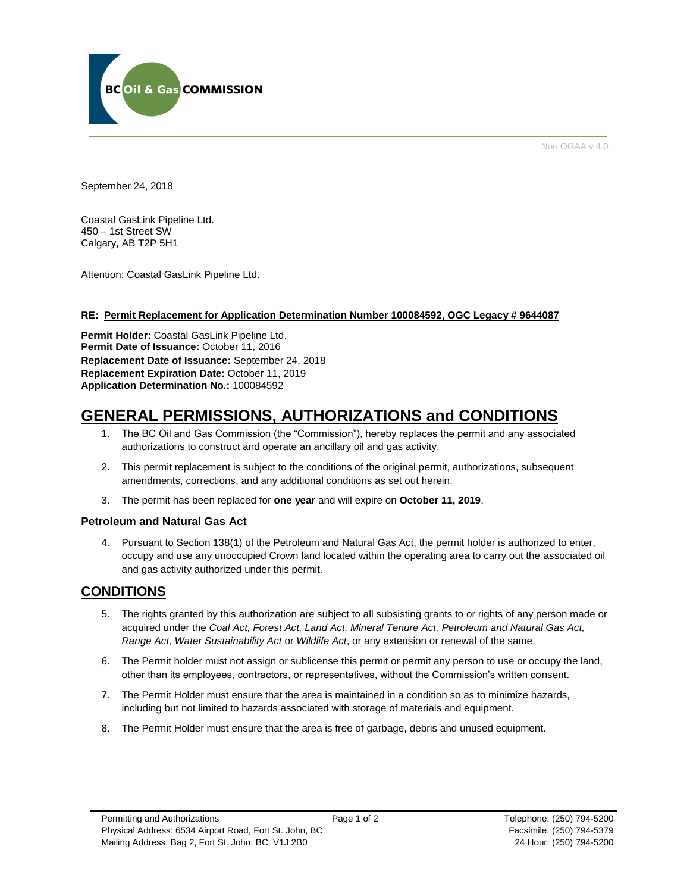

Non OGAA v 4.0

September 24, 2018

Coastal GasLink Pipeline Ltd. 450 – 1st Street SW Calgary, AB T2P 5H1

Attention: Coastal GasLink Pipeline Ltd.

#### **RE: Permit Replacement for Application Determination Number 100084592, OGC Legacy # 9644087**

**Permit Holder:** Coastal GasLink Pipeline Ltd. Permit Date of Issuance: October 11, 2016 **Replacement Date of Issuance:** September 24, 2018 **Replacement Expiration Date:** October 11, 2019 **Application Determination No.:** 100084592

# **GENERAL PERMISSIONS, AUTHORIZATIONS and CONDITIONS**

- 1. The BC Oil and Gas Commission (the "Commission"), hereby replaces the permit and any associated authorizations to construct and operate an ancillary oil and gas activity.
- 2. This permit replacement is subject to the conditions of the original permit, authorizations, subsequent amendments, corrections, and any additional conditions as set out herein.
- 3. The permit has been replaced for **one year** and will expire on **October 11, 2019**.

#### **Petroleum and Natural Gas Act**

4. Pursuant to Section 138(1) of the Petroleum and Natural Gas Act, the permit holder is authorized to enter, occupy and use any unoccupied Crown land located within the operating area to carry out the associated oil and gas activity authorized under this permit.

# **CONDITIONS**

- 5. The rights granted by this authorization are subject to all subsisting grants to or rights of any person made or acquired under the *Coal Act, Forest Act, Land Act, Mineral Tenure Act, Petroleum and Natural Gas Act, Range Act, Water Sustainability Act* or *Wildlife Act*, or any extension or renewal of the same.
- 6. The Permit holder must not assign or sublicense this permit or permit any person to use or occupy the land, other than its employees, contractors, or representatives, without the Commission's written consent.
- 7. The Permit Holder must ensure that the area is maintained in a condition so as to minimize hazards, including but not limited to hazards associated with storage of materials and equipment.
- 8. The Permit Holder must ensure that the area is free of garbage, debris and unused equipment.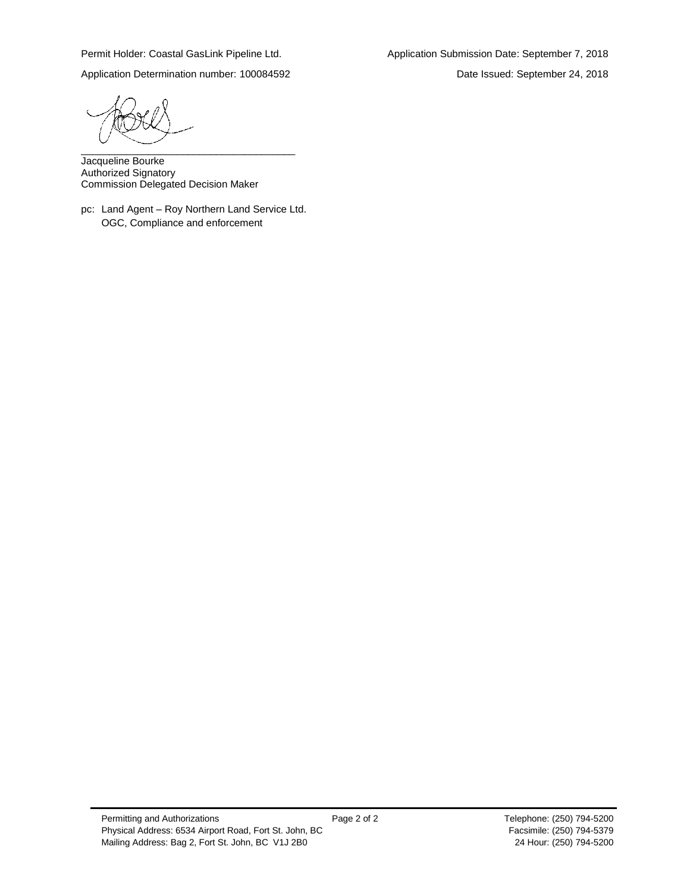Permit Holder: Coastal GasLink Pipeline Ltd. Application Submission Date: September 7, 2018

Application Determination number: 100084592 Date Issued: September 24, 2018

\_\_\_\_\_\_\_\_\_\_\_\_\_\_\_\_\_\_\_\_\_\_\_\_\_\_\_\_\_\_\_\_\_\_\_\_\_\_

Jacqueline Bourke Authorized Signatory Commission Delegated Decision Maker

pc: Land Agent – Roy Northern Land Service Ltd. OGC, Compliance and enforcement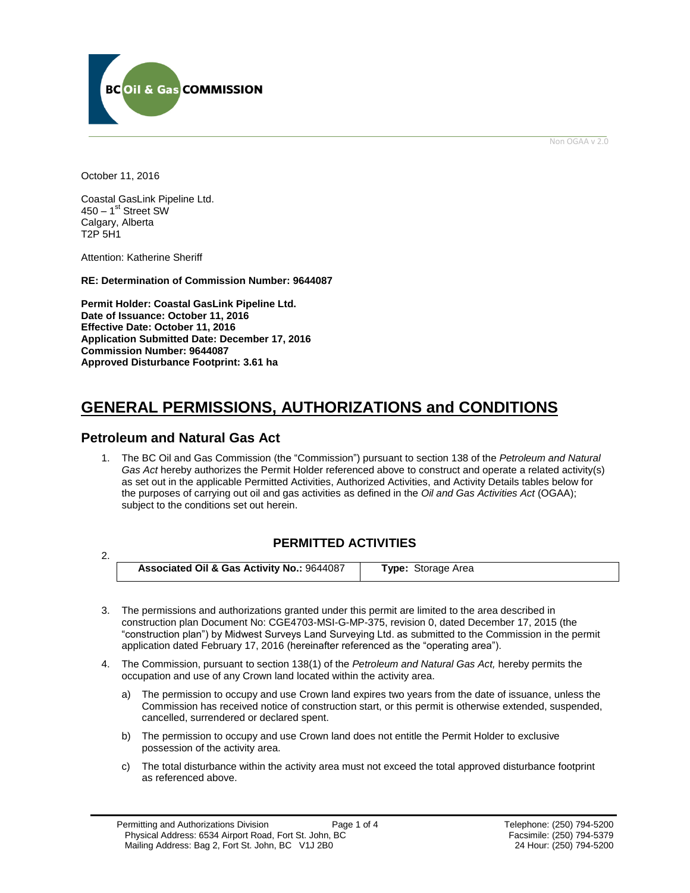

Non OGAA v 2.0

October 11, 2016

2.

Coastal GasLink Pipeline Ltd. 450 – 1<sup>st</sup> Street SW Calgary, Alberta T2P 5H1

Attention: Katherine Sheriff

**RE: Determination of Commission Number: 9644087**

**Permit Holder: Coastal GasLink Pipeline Ltd. Date of Issuance: October 11, 2016 Effective Date: October 11, 2016 Application Submitted Date: December 17, 2016 Commission Number: 9644087 Approved Disturbance Footprint: 3.61 ha**

# **GENERAL PERMISSIONS, AUTHORIZATIONS and CONDITIONS**

## **Petroleum and Natural Gas Act**

1. The BC Oil and Gas Commission (the "Commission") pursuant to section 138 of the *Petroleum and Natural Gas Act* hereby authorizes the Permit Holder referenced above to construct and operate a related activity(s) as set out in the applicable Permitted Activities, Authorized Activities, and Activity Details tables below for the purposes of carrying out oil and gas activities as defined in the *Oil and Gas Activities Act* (OGAA); subject to the conditions set out herein.

## **PERMITTED ACTIVITIES**

**Associated Oil & Gas Activity No.:** 9644087 **Type:** Storage Area

- 3. The permissions and authorizations granted under this permit are limited to the area described in construction plan Document No: CGE4703-MSI-G-MP-375, revision 0, dated December 17, 2015 (the "construction plan") by Midwest Surveys Land Surveying Ltd. as submitted to the Commission in the permit application dated February 17, 2016 (hereinafter referenced as the "operating area").
- 4. The Commission, pursuant to section 138(1) of the *Petroleum and Natural Gas Act,* hereby permits the occupation and use of any Crown land located within the activity area.
	- a) The permission to occupy and use Crown land expires two years from the date of issuance, unless the Commission has received notice of construction start, or this permit is otherwise extended, suspended, cancelled, surrendered or declared spent.
	- b) The permission to occupy and use Crown land does not entitle the Permit Holder to exclusive possession of the activity area.
	- c) The total disturbance within the activity area must not exceed the total approved disturbance footprint as referenced above.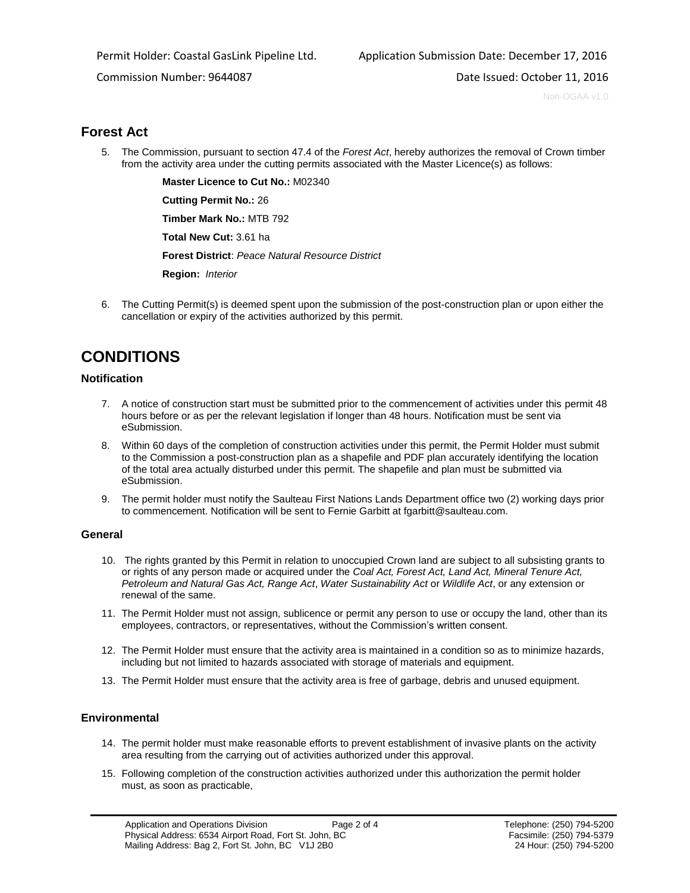Commission Number: 9644087 Date Issued: October 11, 2016

Non-OGAA v1.0

# **Forest Act**

5. The Commission, pursuant to section 47.4 of the *Forest Act*, hereby authorizes the removal of Crown timber from the activity area under the cutting permits associated with the Master Licence(s) as follows:

<span id="page-3-0"></span>**[Master Licence to Cut No.:](https://ams-sso.bcogc.ca/cas/login?service=https%3A%2F%2Fams-epm.bcogc.ca%2Fepermit%2Fpostlogin.jsf%3Bjsessionid%3D19E1A7843F5DE299B3864FCA25C67838)** M02340

**[Cutting Permit No.:](https://ams-crd.bcogc.ca/crd/#/dashboard)** 26

**[Timber Mark No.:](https://ams-crd.bcogc.ca/crd/)** MTB 792

**[Total New Cut:](#page-3-0)** 3.61 ha

**[Forest District](https://ams-crd.bcogc.ca/crd/)**: *Peace Natural Resource District*

**[Region:](#page-3-1)** *Interior* 

<span id="page-3-1"></span>6. The Cutting Permit(s) is deemed spent upon the submission of the post-construction plan or upon either the cancellation or expiry of the activities authorized by this permit.

# **CONDITIONS**

### **Notification**

- 7. A notice of construction start must be submitted prior to the commencement of activities under this permit 48 hours before or as per the relevant legislation if longer than 48 hours. Notification must be sent via eSubmission.
- 8. Within 60 days of the completion of construction activities under this permit, the Permit Holder must submit to the Commission a post-construction plan as a shapefile and PDF plan accurately identifying the location of the total area actually disturbed under this permit. The shapefile and plan must be submitted via eSubmission.
- 9. The permit holder must notify the Saulteau First Nations Lands Department office two (2) working days prior to commencement. Notification will be sent to Fernie Garbitt at fgarbitt@saulteau.com.

#### **General**

- 10. The rights granted by this Permit in relation to unoccupied Crown land are subject to all subsisting grants to or rights of any person made or acquired under the *Coal Act, Forest Act, Land Act, Mineral Tenure Act, Petroleum and Natural Gas Act, Range Act*, *Water Sustainability Act* or *Wildlife Act*, or any extension or renewal of the same.
- 11. The Permit Holder must not assign, sublicence or permit any person to use or occupy the land, other than its employees, contractors, or representatives, without the Commission's written consent.
- 12. The Permit Holder must ensure that the activity area is maintained in a condition so as to minimize hazards, including but not limited to hazards associated with storage of materials and equipment.
- 13. The Permit Holder must ensure that the activity area is free of garbage, debris and unused equipment.

### **Environmental**

- 14. The permit holder must make reasonable efforts to prevent establishment of invasive plants on the activity area resulting from the carrying out of activities authorized under this approval.
- 15. Following completion of the construction activities authorized under this authorization the permit holder must, as soon as practicable,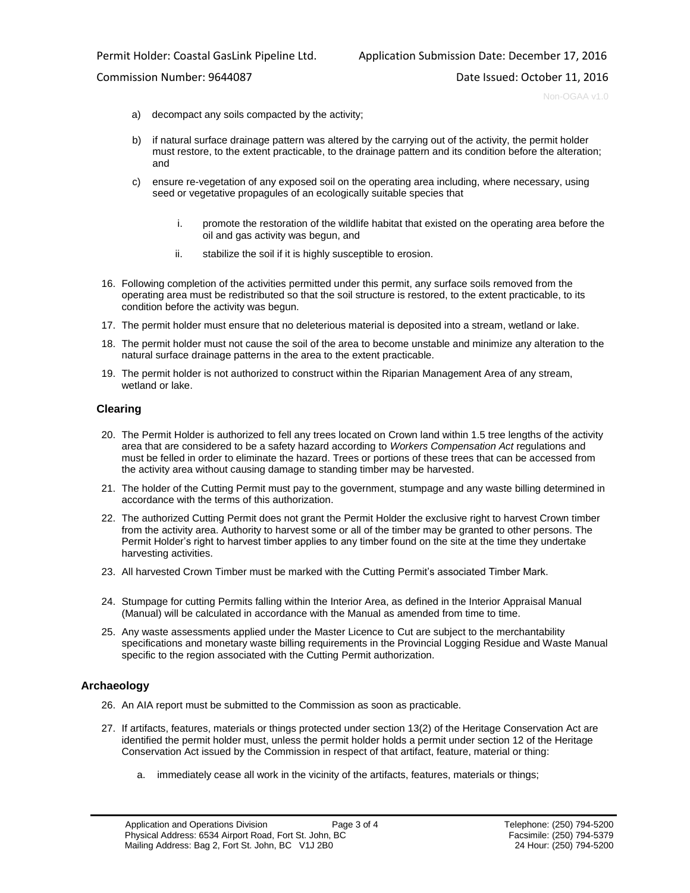#### Commission Number: 9644087 Date Issued: October 11, 2016

Non-OGAA v1.0

- a) decompact any soils compacted by the activity;
- b) if natural surface drainage pattern was altered by the carrying out of the activity, the permit holder must restore, to the extent practicable, to the drainage pattern and its condition before the alteration; and
- c) ensure re-vegetation of any exposed soil on the operating area including, where necessary, using seed or vegetative propagules of an ecologically suitable species that
	- i. promote the restoration of the wildlife habitat that existed on the operating area before the oil and gas activity was begun, and
	- ii. stabilize the soil if it is highly susceptible to erosion.
- 16. Following completion of the activities permitted under this permit, any surface soils removed from the operating area must be redistributed so that the soil structure is restored, to the extent practicable, to its condition before the activity was begun.
- 17. The permit holder must ensure that no deleterious material is deposited into a stream, wetland or lake.
- 18. The permit holder must not cause the soil of the area to become unstable and minimize any alteration to the natural surface drainage patterns in the area to the extent practicable.
- 19. The permit holder is not authorized to construct within the Riparian Management Area of any stream, wetland or lake.

#### **Clearing**

- 20. The Permit Holder is authorized to fell any trees located on Crown land within 1.5 tree lengths of the activity area that are considered to be a safety hazard according to *Workers Compensation Act* regulations and must be felled in order to eliminate the hazard. Trees or portions of these trees that can be accessed from the activity area without causing damage to standing timber may be harvested.
- 21. The holder of the Cutting Permit must pay to the government, stumpage and any waste billing determined in accordance with the terms of this authorization.
- 22. The authorized Cutting Permit does not grant the Permit Holder the exclusive right to harvest Crown timber from the activity area. Authority to harvest some or all of the timber may be granted to other persons. The Permit Holder's right to harvest timber applies to any timber found on the site at the time they undertake harvesting activities.
- 23. All harvested Crown Timber must be marked with the Cutting Permit's associated Timber Mark.
- 24. Stumpage for cutting Permits falling within the Interior Area, as defined in the Interior Appraisal Manual (Manual) will be calculated in accordance with the Manual as amended from time to time.
- 25. Any waste assessments applied under the Master Licence to Cut are subject to the merchantability specifications and monetary waste billing requirements in the Provincial Logging Residue and Waste Manual specific to the region associated with the Cutting Permit authorization.

### **Archaeology**

- 26. An AIA report must be submitted to the Commission as soon as practicable.
- 27. If artifacts, features, materials or things protected under section 13(2) of the Heritage Conservation Act are identified the permit holder must, unless the permit holder holds a permit under section 12 of the Heritage Conservation Act issued by the Commission in respect of that artifact, feature, material or thing:
	- a. immediately cease all work in the vicinity of the artifacts, features, materials or things;